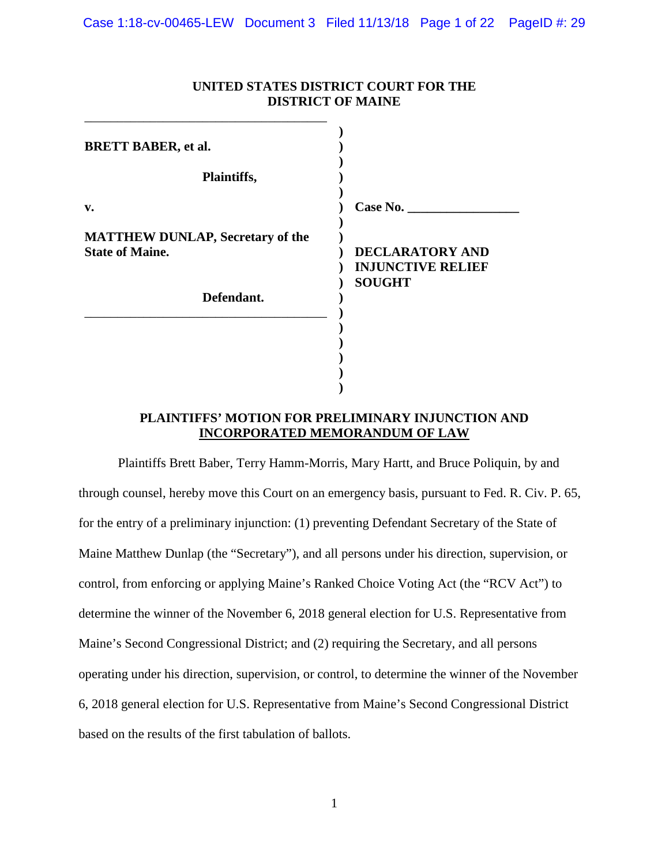|                                                                   | <b>DISTMCI OF MAIRE</b>                                             |
|-------------------------------------------------------------------|---------------------------------------------------------------------|
| <b>BRETT BABER, et al.</b><br>Plaintiffs,                         |                                                                     |
| v.                                                                | Case No.                                                            |
| <b>MATTHEW DUNLAP, Secretary of the</b><br><b>State of Maine.</b> | <b>DECLARATORY AND</b><br><b>INJUNCTIVE RELIEF</b><br><b>SOUGHT</b> |
| Defendant.                                                        |                                                                     |
|                                                                   |                                                                     |
|                                                                   |                                                                     |

## **UNITED STATES DISTRICT COURT FOR THE DISTRICT OF MAINE**

### **PLAINTIFFS' MOTION FOR PRELIMINARY INJUNCTION AND INCORPORATED MEMORANDUM OF LAW**

Plaintiffs Brett Baber, Terry Hamm-Morris, Mary Hartt, and Bruce Poliquin, by and through counsel, hereby move this Court on an emergency basis, pursuant to Fed. R. Civ. P. 65, for the entry of a preliminary injunction: (1) preventing Defendant Secretary of the State of Maine Matthew Dunlap (the "Secretary"), and all persons under his direction, supervision, or control, from enforcing or applying Maine's Ranked Choice Voting Act (the "RCV Act") to determine the winner of the November 6, 2018 general election for U.S. Representative from Maine's Second Congressional District; and (2) requiring the Secretary, and all persons operating under his direction, supervision, or control, to determine the winner of the November 6, 2018 general election for U.S. Representative from Maine's Second Congressional District based on the results of the first tabulation of ballots.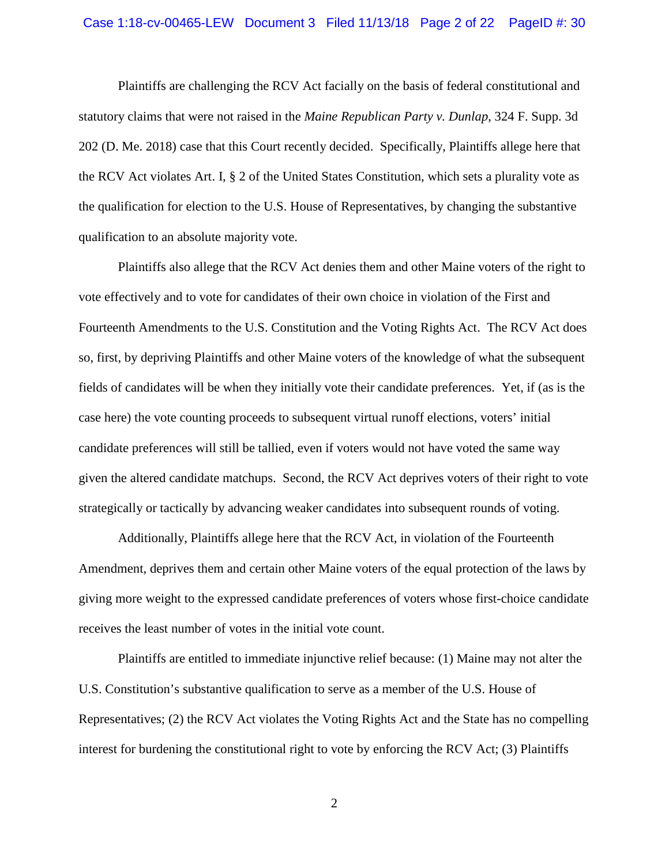#### Case 1:18-cv-00465-LEW Document 3 Filed 11/13/18 Page 2 of 22 PageID #: 30

Plaintiffs are challenging the RCV Act facially on the basis of federal constitutional and statutory claims that were not raised in the *Maine Republican Party v. Dunlap*, 324 F. Supp. 3d 202 (D. Me. 2018) case that this Court recently decided. Specifically, Plaintiffs allege here that the RCV Act violates Art. I, § 2 of the United States Constitution, which sets a plurality vote as the qualification for election to the U.S. House of Representatives, by changing the substantive qualification to an absolute majority vote.

Plaintiffs also allege that the RCV Act denies them and other Maine voters of the right to vote effectively and to vote for candidates of their own choice in violation of the First and Fourteenth Amendments to the U.S. Constitution and the Voting Rights Act. The RCV Act does so, first, by depriving Plaintiffs and other Maine voters of the knowledge of what the subsequent fields of candidates will be when they initially vote their candidate preferences. Yet, if (as is the case here) the vote counting proceeds to subsequent virtual runoff elections, voters' initial candidate preferences will still be tallied, even if voters would not have voted the same way given the altered candidate matchups. Second, the RCV Act deprives voters of their right to vote strategically or tactically by advancing weaker candidates into subsequent rounds of voting.

Additionally, Plaintiffs allege here that the RCV Act, in violation of the Fourteenth Amendment, deprives them and certain other Maine voters of the equal protection of the laws by giving more weight to the expressed candidate preferences of voters whose first-choice candidate receives the least number of votes in the initial vote count.

Plaintiffs are entitled to immediate injunctive relief because: (1) Maine may not alter the U.S. Constitution's substantive qualification to serve as a member of the U.S. House of Representatives; (2) the RCV Act violates the Voting Rights Act and the State has no compelling interest for burdening the constitutional right to vote by enforcing the RCV Act; (3) Plaintiffs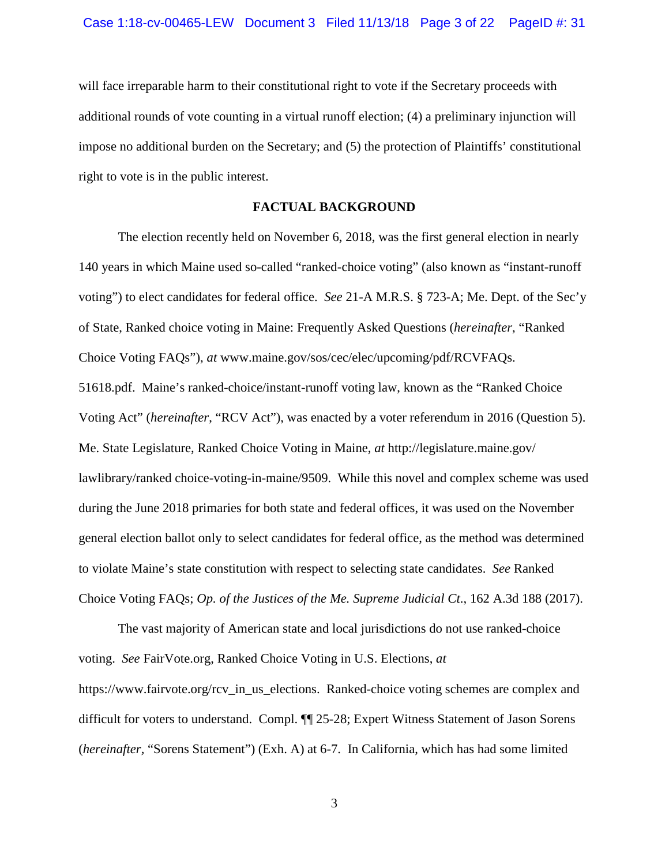will face irreparable harm to their constitutional right to vote if the Secretary proceeds with additional rounds of vote counting in a virtual runoff election; (4) a preliminary injunction will impose no additional burden on the Secretary; and (5) the protection of Plaintiffs' constitutional right to vote is in the public interest.

#### **FACTUAL BACKGROUND**

The election recently held on November 6, 2018, was the first general election in nearly 140 years in which Maine used so-called "ranked-choice voting" (also known as "instant-runoff voting") to elect candidates for federal office. *See* 21-A M.R.S. § 723-A; Me. Dept. of the Sec'y of State, Ranked choice voting in Maine: Frequently Asked Questions (*hereinafter*, "Ranked Choice Voting FAQs"), *at* www.maine.gov/sos/cec/elec/upcoming/pdf/RCVFAQs. 51618.pdf. Maine's ranked-choice/instant-runoff voting law, known as the "Ranked Choice Voting Act" (*hereinafter*, "RCV Act"), was enacted by a voter referendum in 2016 (Question 5). Me. State Legislature, Ranked Choice Voting in Maine, *at* http://legislature.maine.gov/ lawlibrary/ranked choice-voting-in-maine/9509. While this novel and complex scheme was used during the June 2018 primaries for both state and federal offices, it was used on the November general election ballot only to select candidates for federal office, as the method was determined to violate Maine's state constitution with respect to selecting state candidates. *See* Ranked Choice Voting FAQs; *Op. of the Justices of the Me. Supreme Judicial Ct*., 162 A.3d 188 (2017).

The vast majority of American state and local jurisdictions do not use ranked-choice voting. *See* FairVote.org, Ranked Choice Voting in U.S. Elections, *at*  https://www.fairvote.org/rcv\_in\_us\_elections. Ranked-choice voting schemes are complex and difficult for voters to understand. Compl. ¶¶ 25-28; Expert Witness Statement of Jason Sorens (*hereinafter,* "Sorens Statement") (Exh. A) at 6-7. In California, which has had some limited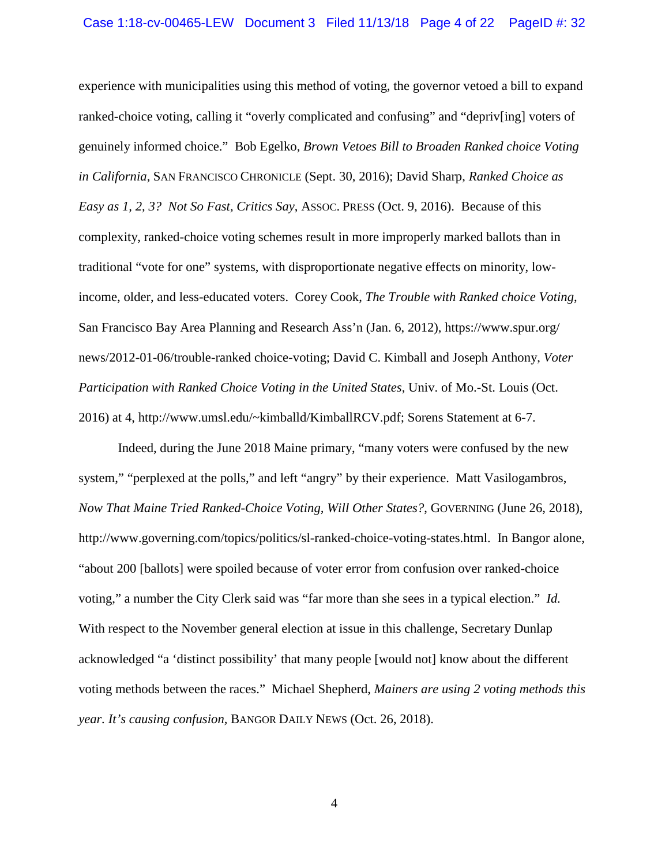experience with municipalities using this method of voting, the governor vetoed a bill to expand ranked-choice voting, calling it "overly complicated and confusing" and "depriv[ing] voters of genuinely informed choice." Bob Egelko, *Brown Vetoes Bill to Broaden Ranked choice Voting in California*, SAN FRANCISCO CHRONICLE (Sept. 30, 2016); David Sharp, *Ranked Choice as Easy as 1, 2, 3? Not So Fast, Critics Say*, ASSOC. PRESS (Oct. 9, 2016). Because of this complexity, ranked-choice voting schemes result in more improperly marked ballots than in traditional "vote for one" systems, with disproportionate negative effects on minority, lowincome, older, and less-educated voters. Corey Cook, *The Trouble with Ranked choice Voting*, San Francisco Bay Area Planning and Research Ass'n (Jan. 6, 2012), https://www.spur.org/ news/2012-01-06/trouble-ranked choice-voting; David C. Kimball and Joseph Anthony, *Voter Participation with Ranked Choice Voting in the United States*, Univ. of Mo.-St. Louis (Oct. 2016) at 4, http://www.umsl.edu/~kimballd/KimballRCV.pdf; Sorens Statement at 6-7.

Indeed, during the June 2018 Maine primary, "many voters were confused by the new system," "perplexed at the polls," and left "angry" by their experience. Matt Vasilogambros, *Now That Maine Tried Ranked-Choice Voting, Will Other States?*, GOVERNING (June 26, 2018), http://www.governing.com/topics/politics/sl-ranked-choice-voting-states.html. In Bangor alone, "about 200 [ballots] were spoiled because of voter error from confusion over ranked-choice voting," a number the City Clerk said was "far more than she sees in a typical election." *Id.* With respect to the November general election at issue in this challenge, Secretary Dunlap acknowledged "a 'distinct possibility' that many people [would not] know about the different voting methods between the races." Michael Shepherd, *Mainers are using 2 voting methods this year. It's causing confusion,* BANGOR DAILY NEWS (Oct. 26, 2018).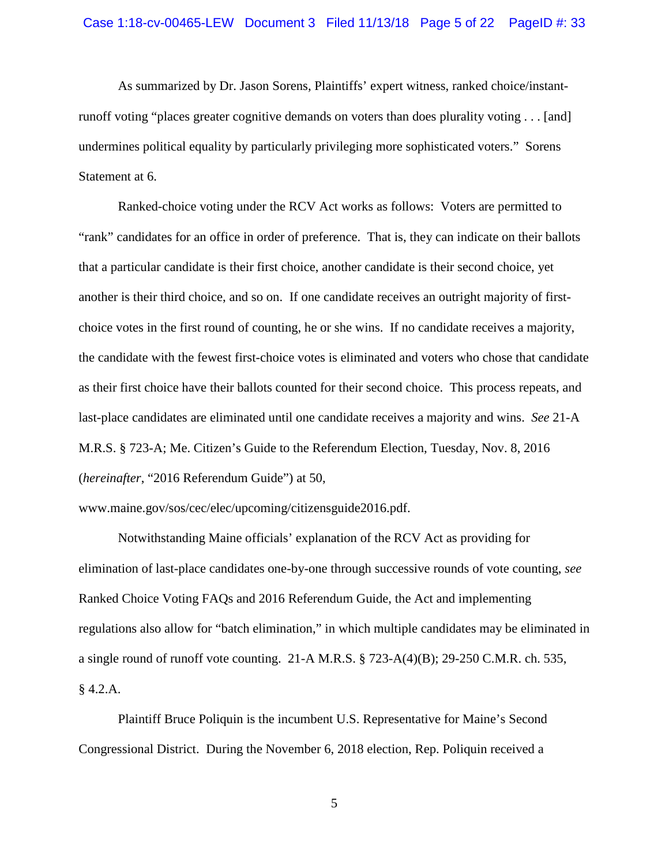As summarized by Dr. Jason Sorens, Plaintiffs' expert witness, ranked choice/instantrunoff voting "places greater cognitive demands on voters than does plurality voting . . . [and] undermines political equality by particularly privileging more sophisticated voters." Sorens Statement at 6.

Ranked-choice voting under the RCV Act works as follows: Voters are permitted to "rank" candidates for an office in order of preference. That is, they can indicate on their ballots that a particular candidate is their first choice, another candidate is their second choice, yet another is their third choice, and so on. If one candidate receives an outright majority of firstchoice votes in the first round of counting, he or she wins. If no candidate receives a majority, the candidate with the fewest first-choice votes is eliminated and voters who chose that candidate as their first choice have their ballots counted for their second choice. This process repeats, and last-place candidates are eliminated until one candidate receives a majority and wins. *See* 21-A M.R.S. § 723-A; Me. Citizen's Guide to the Referendum Election, Tuesday, Nov. 8, 2016 (*hereinafter*, "2016 Referendum Guide") at 50,

www.maine.gov/sos/cec/elec/upcoming/citizensguide2016.pdf.

Notwithstanding Maine officials' explanation of the RCV Act as providing for elimination of last-place candidates one-by-one through successive rounds of vote counting, *see*  Ranked Choice Voting FAQs and 2016 Referendum Guide, the Act and implementing regulations also allow for "batch elimination," in which multiple candidates may be eliminated in a single round of runoff vote counting. 21-A M.R.S. § 723-A(4)(B); 29-250 C.M.R. ch. 535, § 4.2.A.

Plaintiff Bruce Poliquin is the incumbent U.S. Representative for Maine's Second Congressional District. During the November 6, 2018 election, Rep. Poliquin received a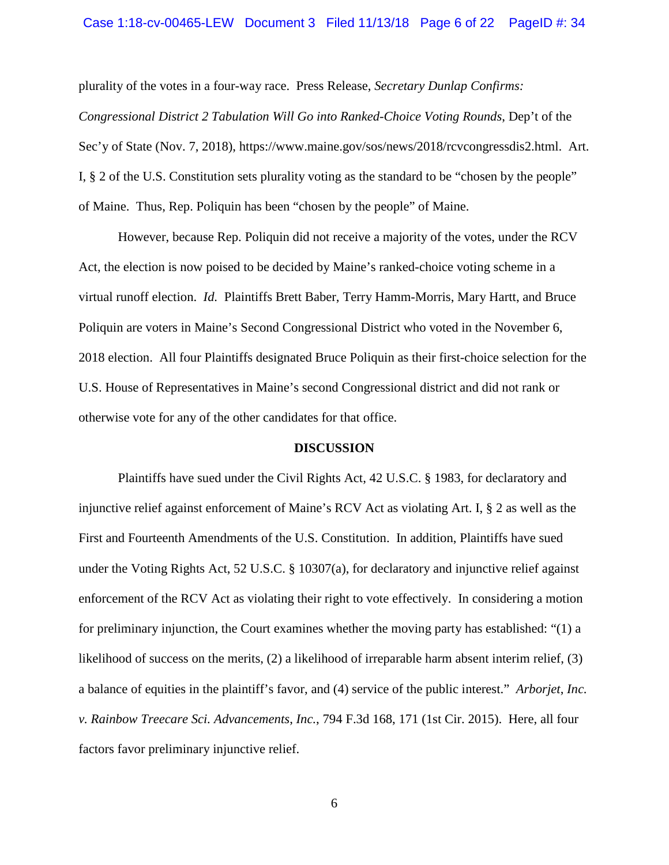#### Case 1:18-cv-00465-LEW Document 3 Filed 11/13/18 Page 6 of 22 PageID #: 34

plurality of the votes in a four-way race. Press Release, *Secretary Dunlap Confirms: Congressional District 2 Tabulation Will Go into Ranked-Choice Voting Rounds*, Dep't of the Sec'y of State (Nov. 7, 2018), https://www.maine.gov/sos/news/2018/rcvcongressdis2.html. Art. I, § 2 of the U.S. Constitution sets plurality voting as the standard to be "chosen by the people" of Maine. Thus, Rep. Poliquin has been "chosen by the people" of Maine.

However, because Rep. Poliquin did not receive a majority of the votes, under the RCV Act, the election is now poised to be decided by Maine's ranked-choice voting scheme in a virtual runoff election. *Id.* Plaintiffs Brett Baber, Terry Hamm-Morris, Mary Hartt, and Bruce Poliquin are voters in Maine's Second Congressional District who voted in the November 6, 2018 election. All four Plaintiffs designated Bruce Poliquin as their first-choice selection for the U.S. House of Representatives in Maine's second Congressional district and did not rank or otherwise vote for any of the other candidates for that office.

#### **DISCUSSION**

Plaintiffs have sued under the Civil Rights Act, 42 U.S.C. § 1983, for declaratory and injunctive relief against enforcement of Maine's RCV Act as violating Art. I, § 2 as well as the First and Fourteenth Amendments of the U.S. Constitution. In addition, Plaintiffs have sued under the Voting Rights Act, 52 U.S.C. § 10307(a), for declaratory and injunctive relief against enforcement of the RCV Act as violating their right to vote effectively. In considering a motion for preliminary injunction, the Court examines whether the moving party has established: "(1) a likelihood of success on the merits, (2) a likelihood of irreparable harm absent interim relief, (3) a balance of equities in the plaintiff's favor, and (4) service of the public interest." *Arborjet*, *Inc. v. Rainbow Treecare Sci. Advancements*, *Inc.*, 794 F.3d 168, 171 (1st Cir. 2015). Here, all four factors favor preliminary injunctive relief.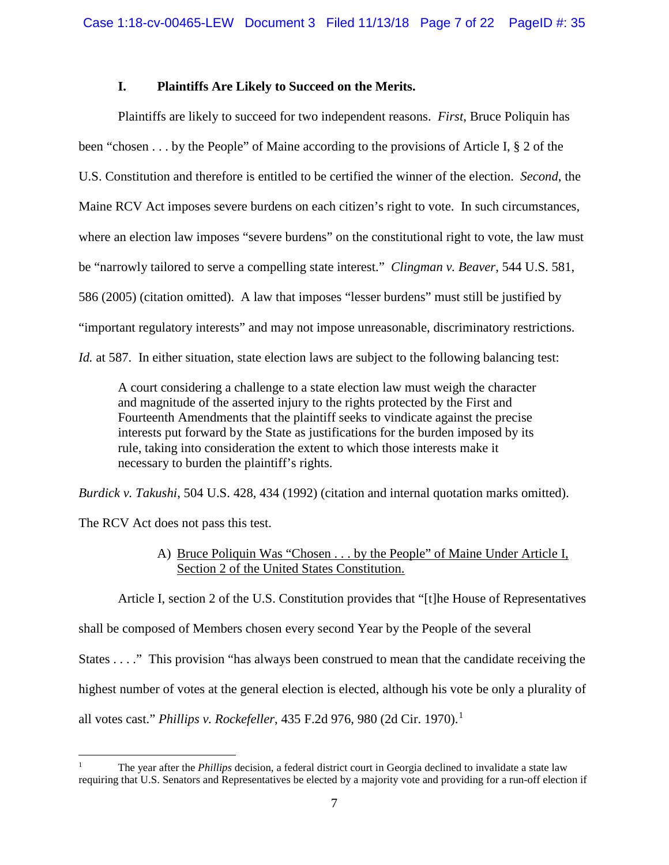## **I. Plaintiffs Are Likely to Succeed on the Merits.**

Plaintiffs are likely to succeed for two independent reasons. *First*, Bruce Poliquin has been "chosen . . . by the People" of Maine according to the provisions of Article I, § 2 of the U.S. Constitution and therefore is entitled to be certified the winner of the election. *Second*, the Maine RCV Act imposes severe burdens on each citizen's right to vote. In such circumstances, where an election law imposes "severe burdens" on the constitutional right to vote, the law must be "narrowly tailored to serve a compelling state interest." *Clingman v. Beaver*, 544 U.S. 581, 586 (2005) (citation omitted). A law that imposes "lesser burdens" must still be justified by "important regulatory interests" and may not impose unreasonable, discriminatory restrictions. *Id.* at 587. In either situation, state election laws are subject to the following balancing test:

A court considering a challenge to a state election law must weigh the character and magnitude of the asserted injury to the rights protected by the First and Fourteenth Amendments that the plaintiff seeks to vindicate against the precise interests put forward by the State as justifications for the burden imposed by its rule, taking into consideration the extent to which those interests make it necessary to burden the plaintiff's rights.

*Burdick v. Takushi*, 504 U.S. 428, 434 (1992) (citation and internal quotation marks omitted).

The RCV Act does not pass this test.

# A) Bruce Poliquin Was "Chosen . . . by the People" of Maine Under Article I, Section 2 of the United States Constitution.

Article I, section 2 of the U.S. Constitution provides that "[t]he House of Representatives

shall be composed of Members chosen every second Year by the People of the several

States . . . ." This provision "has always been construed to mean that the candidate receiving the

highest number of votes at the general election is elected, although his vote be only a plurality of

all votes cast." *Phillips v. Rockefeller*, 435 F.2d 976, 980 (2d Cir. 1970). [1](#page-6-0)

<span id="page-6-0"></span>l <sup>1</sup> The year after the *Phillips* decision, a federal district court in Georgia declined to invalidate a state law requiring that U.S. Senators and Representatives be elected by a majority vote and providing for a run-off election if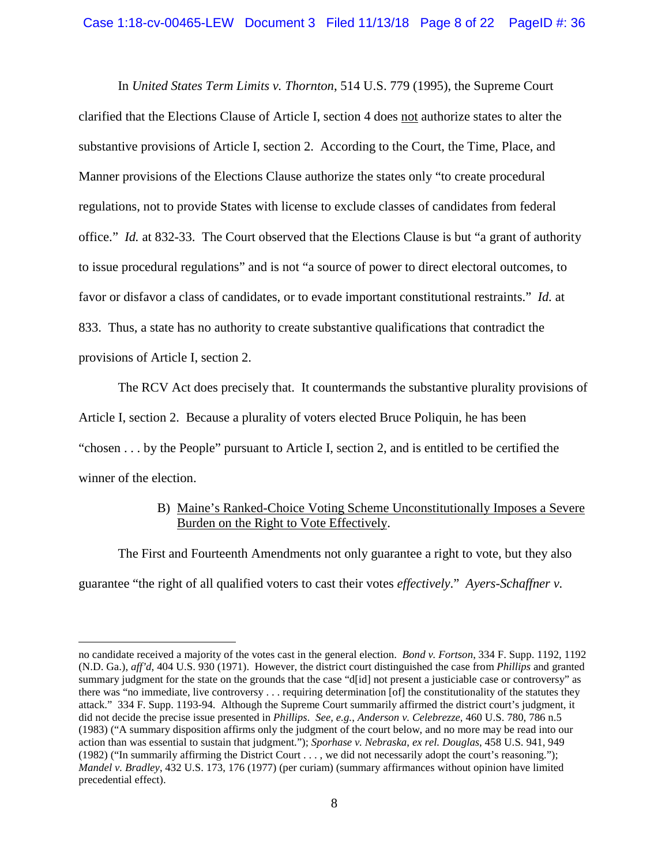In *United States Term Limits v. Thornton*, 514 U.S. 779 (1995), the Supreme Court clarified that the Elections Clause of Article I, section 4 does not authorize states to alter the substantive provisions of Article I, section 2. According to the Court, the Time, Place, and Manner provisions of the Elections Clause authorize the states only "to create procedural regulations, not to provide States with license to exclude classes of candidates from federal office." *Id.* at 832-33. The Court observed that the Elections Clause is but "a grant of authority to issue procedural regulations" and is not "a source of power to direct electoral outcomes, to favor or disfavor a class of candidates, or to evade important constitutional restraints." *Id.* at 833. Thus, a state has no authority to create substantive qualifications that contradict the provisions of Article I, section 2.

The RCV Act does precisely that. It countermands the substantive plurality provisions of Article I, section 2. Because a plurality of voters elected Bruce Poliquin, he has been "chosen . . . by the People" pursuant to Article I, section 2, and is entitled to be certified the winner of the election.

## B) Maine's Ranked-Choice Voting Scheme Unconstitutionally Imposes a Severe Burden on the Right to Vote Effectively.

The First and Fourteenth Amendments not only guarantee a right to vote, but they also guarantee "the right of all qualified voters to cast their votes *effectively*." *Ayers-Schaffner v.* 

 $\overline{\phantom{a}}$ 

no candidate received a majority of the votes cast in the general election. *Bond v. Fortson*, 334 F. Supp. 1192, 1192 (N.D. Ga.), *aff'd*, 404 U.S. 930 (1971). However, the district court distinguished the case from *Phillips* and granted summary judgment for the state on the grounds that the case "d[id] not present a justiciable case or controversy" as there was "no immediate, live controversy . . . requiring determination [of] the constitutionality of the statutes they attack." 334 F. Supp. 1193-94. Although the Supreme Court summarily affirmed the district court's judgment, it did not decide the precise issue presented in *Phillips*. *See, e.g.*, *Anderson v. Celebrezze*, 460 U.S. 780, 786 n.5 (1983) ("A summary disposition affirms only the judgment of the court below, and no more may be read into our action than was essential to sustain that judgment."); *Sporhase v. Nebraska*, *ex rel. Douglas*, 458 U.S. 941, 949 (1982) ("In summarily affirming the District Court . . . , we did not necessarily adopt the court's reasoning."); *Mandel v. Bradley*, 432 U.S. 173, 176 (1977) (per curiam) (summary affirmances without opinion have limited precedential effect).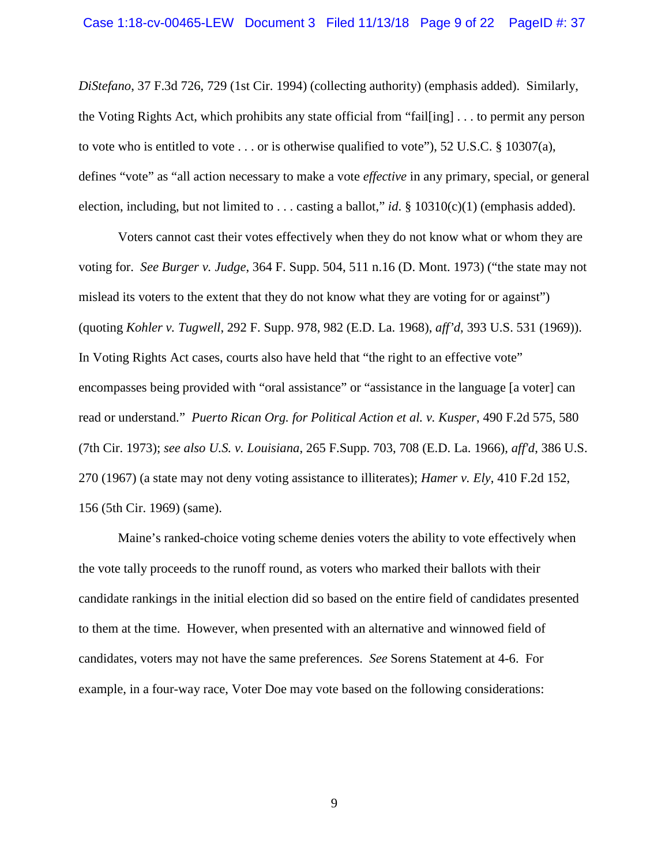*DiStefano*, 37 F.3d 726, 729 (1st Cir. 1994) (collecting authority) (emphasis added). Similarly, the Voting Rights Act, which prohibits any state official from "fail[ing] . . . to permit any person to vote who is entitled to vote  $\dots$  or is otherwise qualified to vote"), 52 U.S.C. § 10307(a), defines "vote" as "all action necessary to make a vote *effective* in any primary, special, or general election, including, but not limited to . . . casting a ballot," *id*. § 10310(c)(1) (emphasis added).

Voters cannot cast their votes effectively when they do not know what or whom they are voting for. *See Burger v. Judge*, 364 F. Supp. 504, 511 n.16 (D. Mont. 1973) ("the state may not mislead its voters to the extent that they do not know what they are voting for or against") (quoting *Kohler v. Tugwell*, 292 F. Supp. 978, 982 (E.D. La. 1968), *aff'd*, 393 U.S. 531 (1969)). In Voting Rights Act cases, courts also have held that "the right to an effective vote" encompasses being provided with "oral assistance" or "assistance in the language [a voter] can read or understand." *Puerto Rican Org. for Political Action et al. v. Kusper*, 490 F.2d 575, 580 (7th Cir. 1973); *see also U.S. v. Louisiana*, 265 F.Supp. 703, 708 (E.D. La. 1966), *aff'd*, 386 U.S. 270 (1967) (a state may not deny voting assistance to illiterates); *Hamer v. Ely*, 410 F.2d 152, 156 (5th Cir. 1969) (same).

Maine's ranked-choice voting scheme denies voters the ability to vote effectively when the vote tally proceeds to the runoff round, as voters who marked their ballots with their candidate rankings in the initial election did so based on the entire field of candidates presented to them at the time. However, when presented with an alternative and winnowed field of candidates, voters may not have the same preferences. *See* Sorens Statement at 4-6. For example, in a four-way race, Voter Doe may vote based on the following considerations: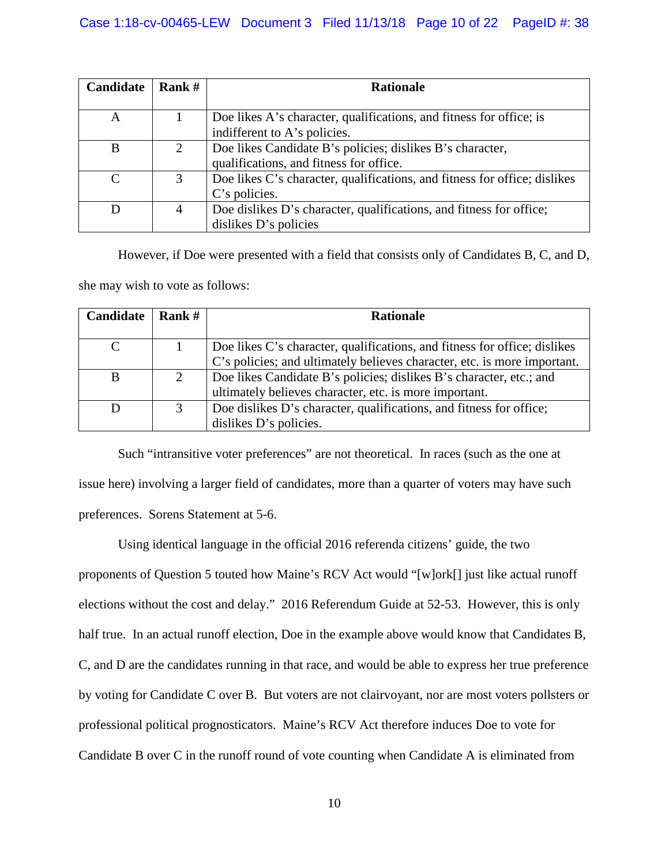| Candidate | Rank $#$ | <b>Rationale</b>                                                          |  |
|-----------|----------|---------------------------------------------------------------------------|--|
|           |          |                                                                           |  |
| A         |          | Doe likes A's character, qualifications, and fitness for office; is       |  |
|           |          | indifferent to A's policies.                                              |  |
| B         | 2        | Doe likes Candidate B's policies; dislikes B's character,                 |  |
|           |          | qualifications, and fitness for office.                                   |  |
| $\Gamma$  | 3        | Doe likes C's character, qualifications, and fitness for office; dislikes |  |
|           |          | C's policies.                                                             |  |
|           | 4        | Doe dislikes D's character, qualifications, and fitness for office;       |  |
|           |          | dislikes D's policies                                                     |  |

However, if Doe were presented with a field that consists only of Candidates B, C, and D, she may wish to vote as follows:

| <b>Candidate</b> | Rank $#$ | <b>Rationale</b>                                                          |  |
|------------------|----------|---------------------------------------------------------------------------|--|
|                  |          |                                                                           |  |
|                  |          | Doe likes C's character, qualifications, and fitness for office; dislikes |  |
|                  |          | C's policies; and ultimately believes character, etc. is more important.  |  |
| B                | 2        | Doe likes Candidate B's policies; dislikes B's character, etc.; and       |  |
|                  |          | ultimately believes character, etc. is more important.                    |  |
|                  | 3        | Doe dislikes D's character, qualifications, and fitness for office;       |  |
|                  |          | dislikes D's policies.                                                    |  |

Such "intransitive voter preferences" are not theoretical. In races (such as the one at issue here) involving a larger field of candidates, more than a quarter of voters may have such preferences. Sorens Statement at 5-6.

Using identical language in the official 2016 referenda citizens' guide, the two proponents of Question 5 touted how Maine's RCV Act would "[w]ork[] just like actual runoff elections without the cost and delay." 2016 Referendum Guide at 52-53. However, this is only half true. In an actual runoff election, Doe in the example above would know that Candidates B, C, and D are the candidates running in that race, and would be able to express her true preference by voting for Candidate C over B. But voters are not clairvoyant, nor are most voters pollsters or professional political prognosticators. Maine's RCV Act therefore induces Doe to vote for Candidate B over C in the runoff round of vote counting when Candidate A is eliminated from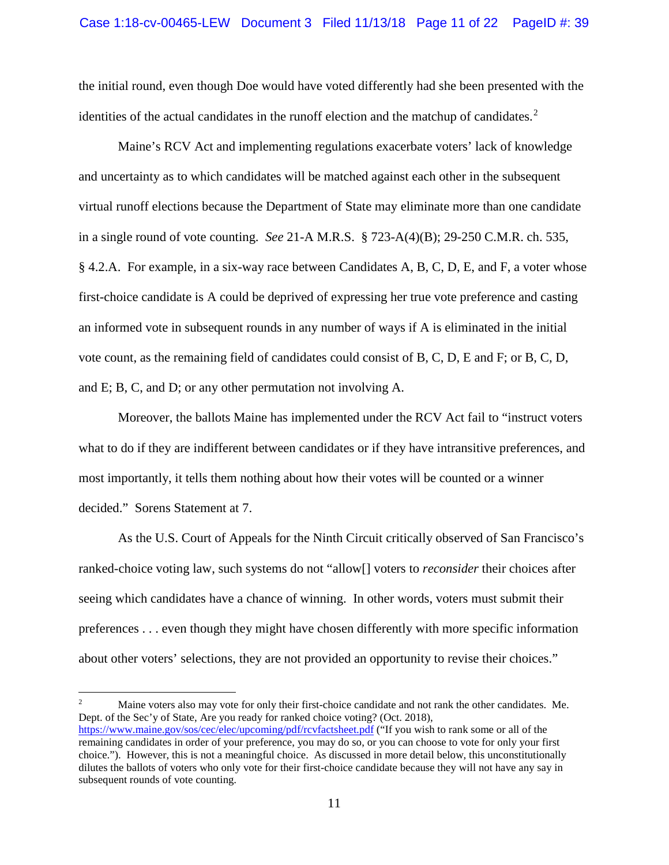the initial round, even though Doe would have voted differently had she been presented with the identities of the actual candidates in the runoff election and the matchup of candidates.<sup>[2](#page-10-0)</sup>

Maine's RCV Act and implementing regulations exacerbate voters' lack of knowledge and uncertainty as to which candidates will be matched against each other in the subsequent virtual runoff elections because the Department of State may eliminate more than one candidate in a single round of vote counting. *See* 21-A M.R.S. § 723-A(4)(B); 29-250 C.M.R. ch. 535, § 4.2.A. For example, in a six-way race between Candidates A, B, C, D, E, and F, a voter whose first-choice candidate is A could be deprived of expressing her true vote preference and casting an informed vote in subsequent rounds in any number of ways if A is eliminated in the initial vote count, as the remaining field of candidates could consist of B, C, D, E and F; or B, C, D, and E; B, C, and D; or any other permutation not involving A.

Moreover, the ballots Maine has implemented under the RCV Act fail to "instruct voters what to do if they are indifferent between candidates or if they have intransitive preferences, and most importantly, it tells them nothing about how their votes will be counted or a winner decided." Sorens Statement at 7.

As the U.S. Court of Appeals for the Ninth Circuit critically observed of San Francisco's ranked-choice voting law, such systems do not "allow[] voters to *reconsider* their choices after seeing which candidates have a chance of winning. In other words, voters must submit their preferences . . . even though they might have chosen differently with more specific information about other voters' selections, they are not provided an opportunity to revise their choices."

<span id="page-10-0"></span> $\overline{c}$ <sup>2</sup> Maine voters also may vote for only their first-choice candidate and not rank the other candidates. Me. Dept. of the Sec'y of State, Are you ready for ranked choice voting? (Oct. 2018), <https://www.maine.gov/sos/cec/elec/upcoming/pdf/rcvfactsheet.pdf> ("If you wish to rank some or all of the remaining candidates in order of your preference, you may do so, or you can choose to vote for only your first choice."). However, this is not a meaningful choice. As discussed in more detail below, this unconstitutionally dilutes the ballots of voters who only vote for their first-choice candidate because they will not have any say in subsequent rounds of vote counting.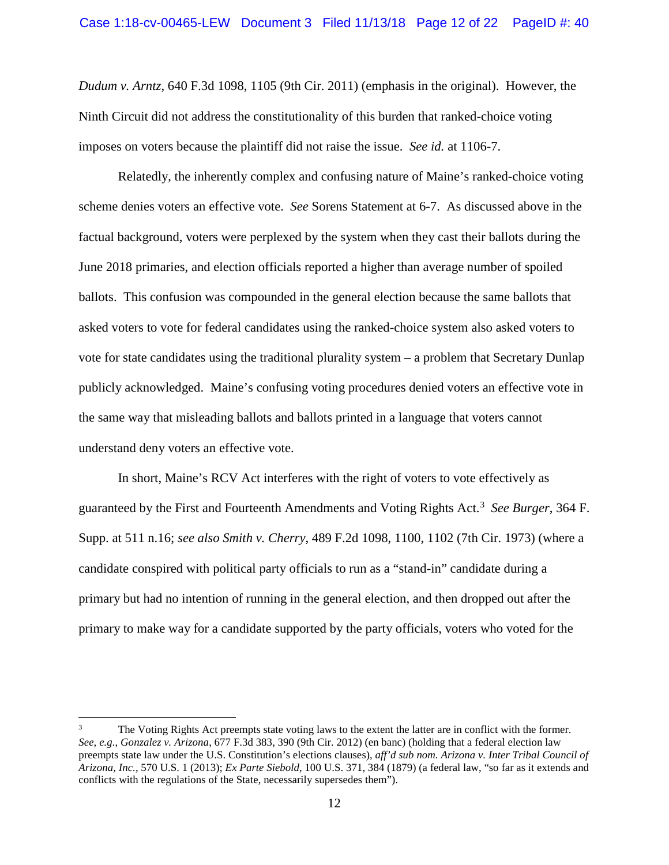*Dudum v. Arntz*, 640 F.3d 1098, 1105 (9th Cir. 2011) (emphasis in the original). However, the Ninth Circuit did not address the constitutionality of this burden that ranked-choice voting imposes on voters because the plaintiff did not raise the issue. *See id.* at 1106-7.

Relatedly, the inherently complex and confusing nature of Maine's ranked-choice voting scheme denies voters an effective vote. *See* Sorens Statement at 6-7. As discussed above in the factual background, voters were perplexed by the system when they cast their ballots during the June 2018 primaries, and election officials reported a higher than average number of spoiled ballots. This confusion was compounded in the general election because the same ballots that asked voters to vote for federal candidates using the ranked-choice system also asked voters to vote for state candidates using the traditional plurality system – a problem that Secretary Dunlap publicly acknowledged. Maine's confusing voting procedures denied voters an effective vote in the same way that misleading ballots and ballots printed in a language that voters cannot understand deny voters an effective vote.

In short, Maine's RCV Act interferes with the right of voters to vote effectively as guaranteed by the First and Fourteenth Amendments and Voting Rights Act.<sup>[3](#page-11-0)</sup> See Burger, 364 F. Supp. at 511 n.16; *see also Smith v. Cherry*, 489 F.2d 1098, 1100, 1102 (7th Cir. 1973) (where a candidate conspired with political party officials to run as a "stand-in" candidate during a primary but had no intention of running in the general election, and then dropped out after the primary to make way for a candidate supported by the party officials, voters who voted for the

 $\overline{\phantom{a}}$ 

<span id="page-11-0"></span><sup>3</sup> The Voting Rights Act preempts state voting laws to the extent the latter are in conflict with the former. *See*, *e.g.*, *Gonzalez v. Arizona*, 677 F.3d 383, 390 (9th Cir. 2012) (en banc) (holding that a federal election law preempts state law under the U.S. Constitution's elections clauses), *aff'd sub nom. Arizona v. Inter Tribal Council of Arizona, Inc.*, 570 U.S. 1 (2013); *Ex Parte Siebold*, 100 U.S. 371, 384 (1879) (a federal law, "so far as it extends and conflicts with the regulations of the State, necessarily supersedes them").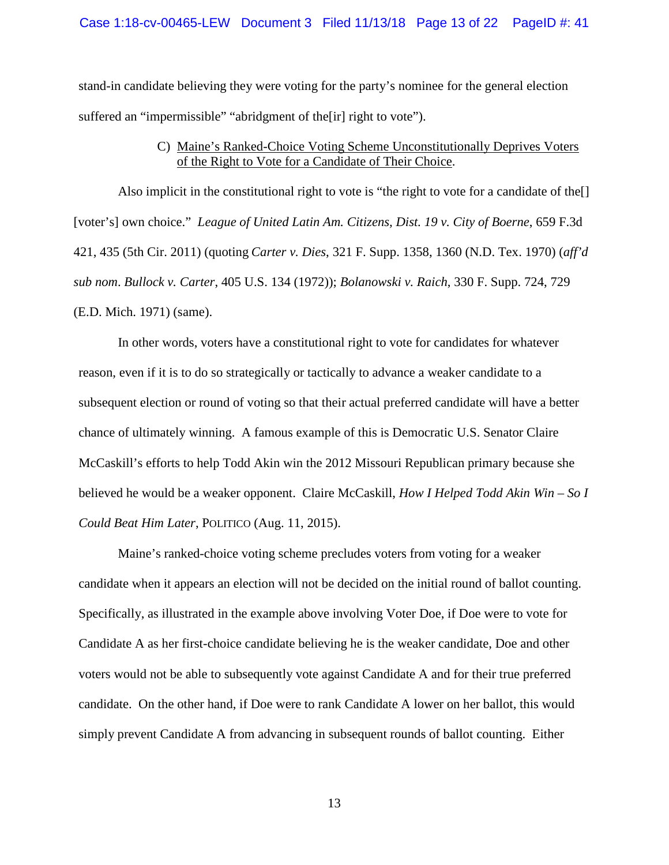stand-in candidate believing they were voting for the party's nominee for the general election suffered an "impermissible" "abridgment of the<sup>[ir]</sup> right to vote").

## C) Maine's Ranked-Choice Voting Scheme Unconstitutionally Deprives Voters of the Right to Vote for a Candidate of Their Choice.

Also implicit in the constitutional right to vote is "the right to vote for a candidate of the[] [voter's] own choice." *League of United Latin Am. Citizens, Dist. 19 v. City of Boerne*, 659 F.3d 421, 435 (5th Cir. 2011) (quoting *Carter v. Dies*, 321 F. Supp. 1358, 1360 (N.D. Tex. 1970) (*aff'd sub nom*. *Bullock v. Carter*, 405 U.S. 134 (1972)); *Bolanowski v. Raich*, 330 F. Supp. 724, 729 (E.D. Mich. 1971) (same).

In other words, voters have a constitutional right to vote for candidates for whatever reason, even if it is to do so strategically or tactically to advance a weaker candidate to a subsequent election or round of voting so that their actual preferred candidate will have a better chance of ultimately winning. A famous example of this is Democratic U.S. Senator Claire McCaskill's efforts to help Todd Akin win the 2012 Missouri Republican primary because she believed he would be a weaker opponent. Claire McCaskill, *How I Helped Todd Akin Win – So I Could Beat Him Later*, POLITICO (Aug. 11, 2015).

Maine's ranked-choice voting scheme precludes voters from voting for a weaker candidate when it appears an election will not be decided on the initial round of ballot counting. Specifically, as illustrated in the example above involving Voter Doe, if Doe were to vote for Candidate A as her first-choice candidate believing he is the weaker candidate, Doe and other voters would not be able to subsequently vote against Candidate A and for their true preferred candidate. On the other hand, if Doe were to rank Candidate A lower on her ballot, this would simply prevent Candidate A from advancing in subsequent rounds of ballot counting. Either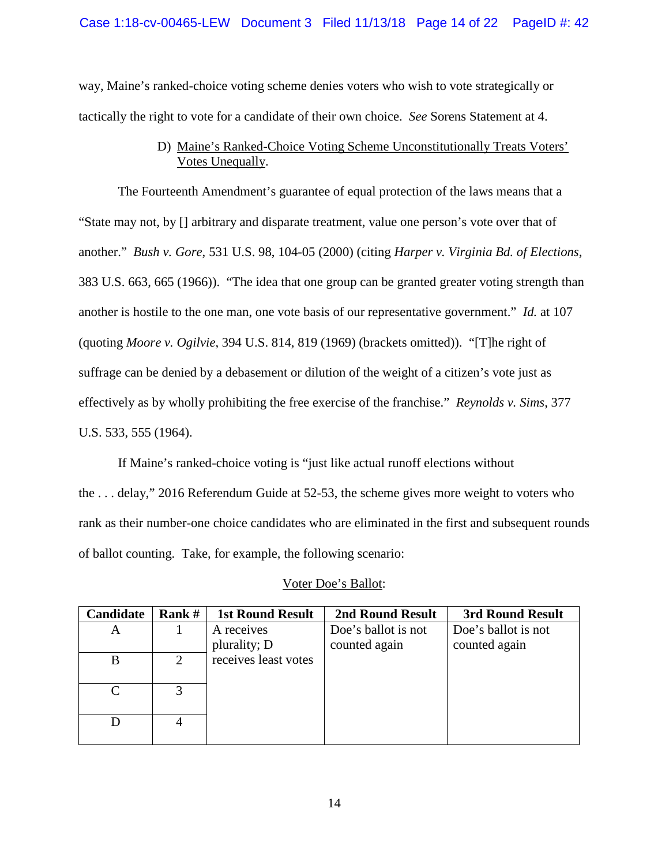### Case 1:18-cv-00465-LEW Document 3 Filed 11/13/18 Page 14 of 22 PageID #: 42

way, Maine's ranked-choice voting scheme denies voters who wish to vote strategically or tactically the right to vote for a candidate of their own choice. *See* Sorens Statement at 4.

# D) Maine's Ranked-Choice Voting Scheme Unconstitutionally Treats Voters' Votes Unequally.

The Fourteenth Amendment's guarantee of equal protection of the laws means that a "State may not, by [] arbitrary and disparate treatment, value one person's vote over that of another." *Bush v. Gore*, 531 U.S. 98, 104-05 (2000) (citing *Harper v. Virginia Bd. of Elections*, 383 U.S. 663, 665 (1966)). "The idea that one group can be granted greater voting strength than another is hostile to the one man, one vote basis of our representative government." *Id.* at 107 (quoting *Moore v. Ogilvie*, 394 U.S. 814, 819 (1969) (brackets omitted)). "[T]he right of suffrage can be denied by a debasement or dilution of the weight of a citizen's vote just as effectively as by wholly prohibiting the free exercise of the franchise." *Reynolds v. Sims*, 377 U.S. 533, 555 (1964).

If Maine's ranked-choice voting is "just like actual runoff elections without the . . . delay," 2016 Referendum Guide at 52-53, the scheme gives more weight to voters who rank as their number-one choice candidates who are eliminated in the first and subsequent rounds of ballot counting. Take, for example, the following scenario:

| Candidate | Rank #                | <b>1st Round Result</b> | 2nd Round Result    | 3rd Round Result    |
|-----------|-----------------------|-------------------------|---------------------|---------------------|
| Α         |                       | A receives              | Doe's ballot is not | Doe's ballot is not |
|           |                       | plurality; D            | counted again       | counted again       |
| B         | $\mathcal{D}_{\cdot}$ | receives least votes    |                     |                     |
|           |                       |                         |                     |                     |
|           |                       |                         |                     |                     |
|           |                       |                         |                     |                     |
|           | $\overline{4}$        |                         |                     |                     |
|           |                       |                         |                     |                     |

### Voter Doe's Ballot: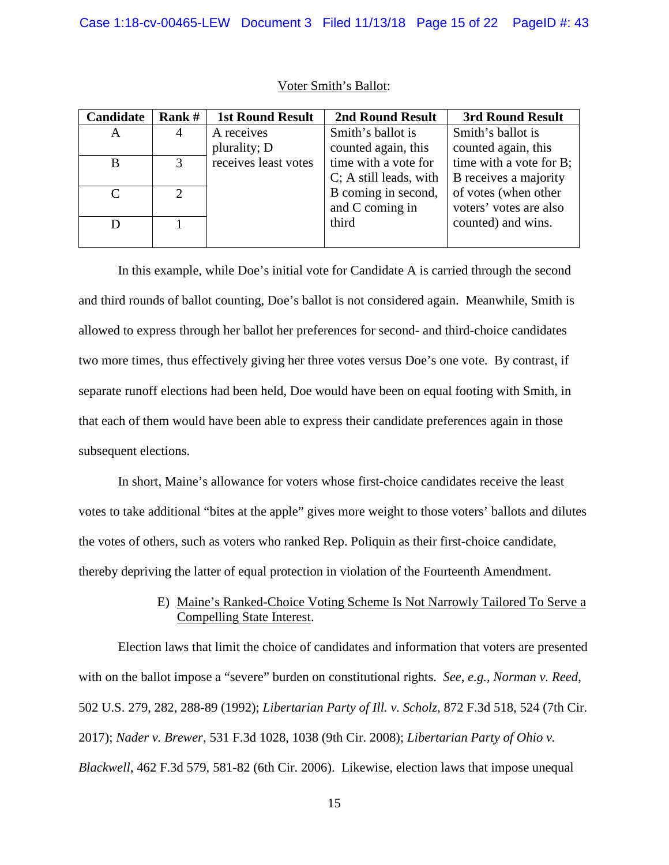| Candidate | Rank #         | <b>1st Round Result</b> | <b>2nd Round Result</b> | 3rd Round Result        |
|-----------|----------------|-------------------------|-------------------------|-------------------------|
| A         | $\overline{4}$ | A receives              | Smith's ballot is       | Smith's ballot is       |
|           |                | plurality; D            | counted again, this     | counted again, this     |
| B         | $\mathbf{R}$   | receives least votes    | time with a vote for    | time with a vote for B; |
|           |                |                         | C; A still leads, with  | B receives a majority   |
|           |                |                         | B coming in second,     | of votes (when other    |
|           |                |                         | and C coming in         | voters' votes are also  |
|           |                |                         | third                   | counted) and wins.      |
|           |                |                         |                         |                         |

#### Voter Smith's Ballot:

In this example, while Doe's initial vote for Candidate A is carried through the second and third rounds of ballot counting, Doe's ballot is not considered again. Meanwhile, Smith is allowed to express through her ballot her preferences for second- and third-choice candidates two more times, thus effectively giving her three votes versus Doe's one vote. By contrast, if separate runoff elections had been held, Doe would have been on equal footing with Smith, in that each of them would have been able to express their candidate preferences again in those subsequent elections.

In short, Maine's allowance for voters whose first-choice candidates receive the least votes to take additional "bites at the apple" gives more weight to those voters' ballots and dilutes the votes of others, such as voters who ranked Rep. Poliquin as their first-choice candidate, thereby depriving the latter of equal protection in violation of the Fourteenth Amendment.

## E) Maine's Ranked-Choice Voting Scheme Is Not Narrowly Tailored To Serve a Compelling State Interest.

Election laws that limit the choice of candidates and information that voters are presented with on the ballot impose a "severe" burden on constitutional rights. *See*, *e.g.*, *Norman v. Reed*, 502 U.S. 279, 282, 288-89 (1992); *Libertarian Party of Ill. v. Scholz*, 872 F.3d 518, 524 (7th Cir. 2017); *Nader v. Brewer*, 531 F.3d 1028, 1038 (9th Cir. 2008); *Libertarian Party of Ohio v. Blackwell*, 462 F.3d 579, 581-82 (6th Cir. 2006). Likewise, election laws that impose unequal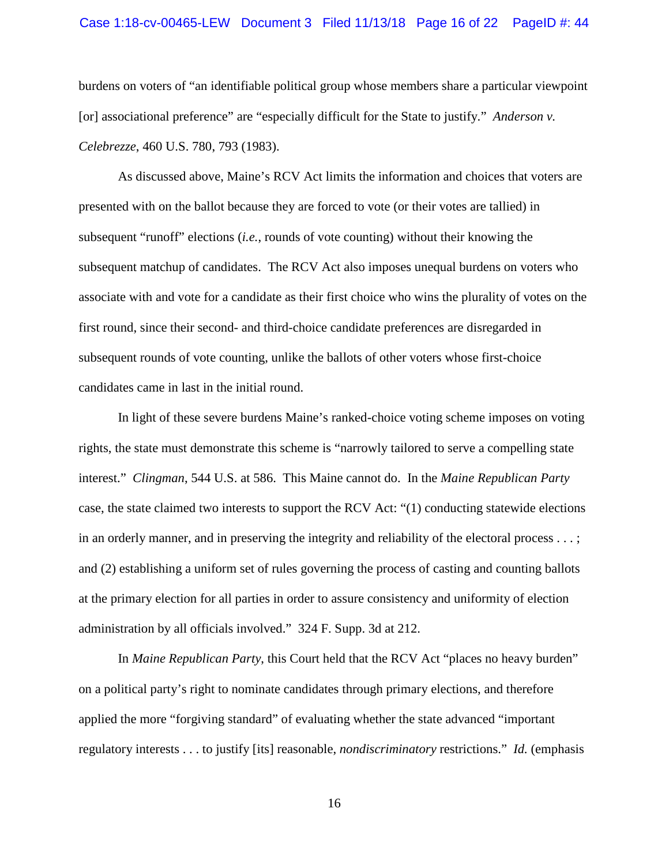#### Case 1:18-cv-00465-LEW Document 3 Filed 11/13/18 Page 16 of 22 PageID #: 44

burdens on voters of "an identifiable political group whose members share a particular viewpoint [or] associational preference" are "especially difficult for the State to justify." *Anderson v. Celebrezze*, 460 U.S. 780, 793 (1983).

As discussed above, Maine's RCV Act limits the information and choices that voters are presented with on the ballot because they are forced to vote (or their votes are tallied) in subsequent "runoff" elections (*i.e.*, rounds of vote counting) without their knowing the subsequent matchup of candidates. The RCV Act also imposes unequal burdens on voters who associate with and vote for a candidate as their first choice who wins the plurality of votes on the first round, since their second- and third-choice candidate preferences are disregarded in subsequent rounds of vote counting, unlike the ballots of other voters whose first-choice candidates came in last in the initial round.

In light of these severe burdens Maine's ranked-choice voting scheme imposes on voting rights, the state must demonstrate this scheme is "narrowly tailored to serve a compelling state interest." *Clingman*, 544 U.S. at 586. This Maine cannot do. In the *Maine Republican Party* case, the state claimed two interests to support the RCV Act: "(1) conducting statewide elections in an orderly manner, and in preserving the integrity and reliability of the electoral process . . . ; and (2) establishing a uniform set of rules governing the process of casting and counting ballots at the primary election for all parties in order to assure consistency and uniformity of election administration by all officials involved." 324 F. Supp. 3d at 212.

In *Maine Republican Party*, this Court held that the RCV Act "places no heavy burden" on a political party's right to nominate candidates through primary elections, and therefore applied the more "forgiving standard" of evaluating whether the state advanced "important regulatory interests . . . to justify [its] reasonable, *nondiscriminatory* restrictions." *Id.* (emphasis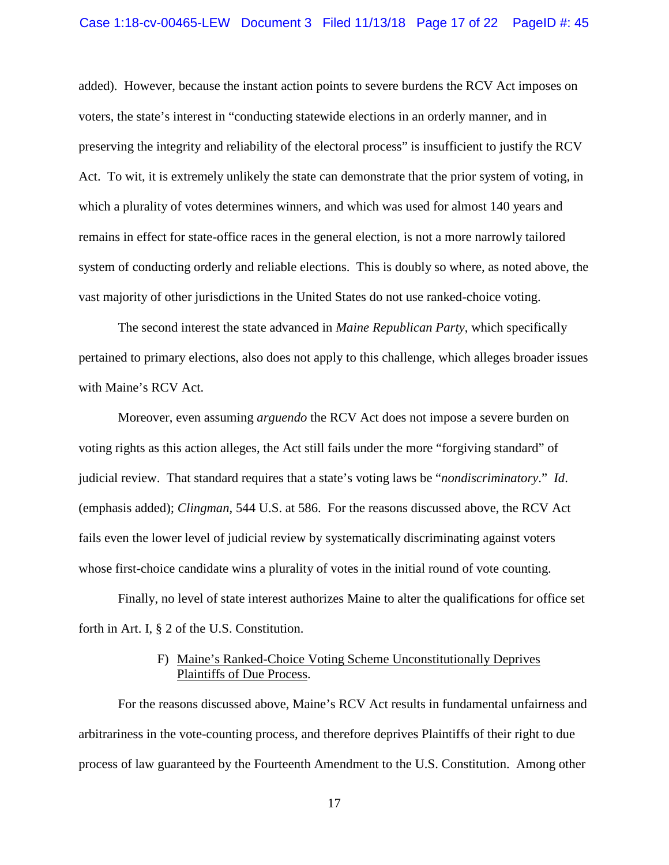#### Case 1:18-cv-00465-LEW Document 3 Filed 11/13/18 Page 17 of 22 PageID #: 45

added). However, because the instant action points to severe burdens the RCV Act imposes on voters, the state's interest in "conducting statewide elections in an orderly manner, and in preserving the integrity and reliability of the electoral process" is insufficient to justify the RCV Act. To wit, it is extremely unlikely the state can demonstrate that the prior system of voting, in which a plurality of votes determines winners, and which was used for almost 140 years and remains in effect for state-office races in the general election, is not a more narrowly tailored system of conducting orderly and reliable elections. This is doubly so where, as noted above, the vast majority of other jurisdictions in the United States do not use ranked-choice voting.

The second interest the state advanced in *Maine Republican Party*, which specifically pertained to primary elections, also does not apply to this challenge, which alleges broader issues with Maine's RCV Act.

Moreover, even assuming *arguendo* the RCV Act does not impose a severe burden on voting rights as this action alleges, the Act still fails under the more "forgiving standard" of judicial review. That standard requires that a state's voting laws be "*nondiscriminatory*." *Id*. (emphasis added); *Clingman*, 544 U.S. at 586. For the reasons discussed above, the RCV Act fails even the lower level of judicial review by systematically discriminating against voters whose first-choice candidate wins a plurality of votes in the initial round of vote counting.

Finally, no level of state interest authorizes Maine to alter the qualifications for office set forth in Art. I, § 2 of the U.S. Constitution.

#### F) Maine's Ranked-Choice Voting Scheme Unconstitutionally Deprives Plaintiffs of Due Process.

For the reasons discussed above, Maine's RCV Act results in fundamental unfairness and arbitrariness in the vote-counting process, and therefore deprives Plaintiffs of their right to due process of law guaranteed by the Fourteenth Amendment to the U.S. Constitution. Among other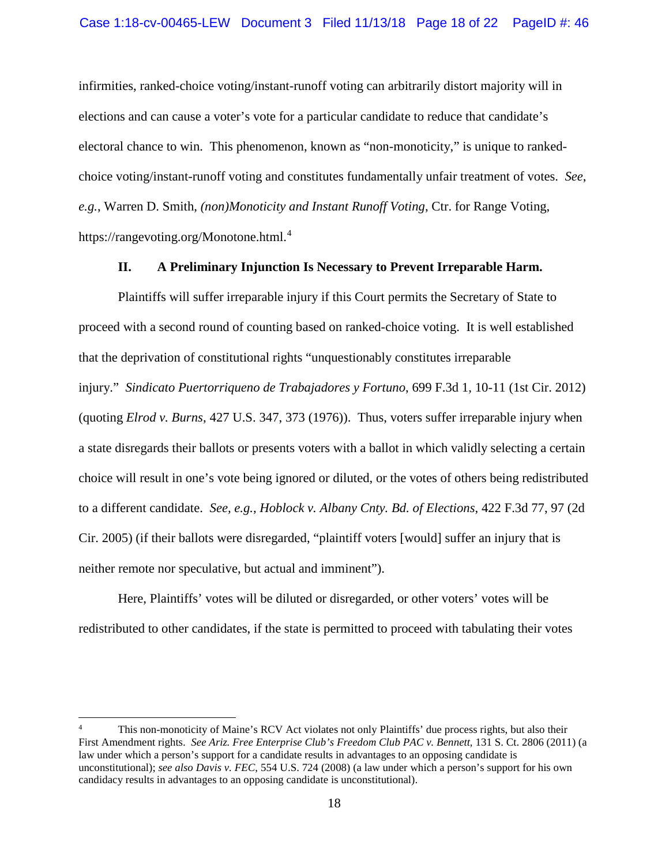infirmities, ranked-choice voting/instant-runoff voting can arbitrarily distort majority will in elections and can cause a voter's vote for a particular candidate to reduce that candidate's electoral chance to win. This phenomenon, known as "non-monoticity," is unique to rankedchoice voting/instant-runoff voting and constitutes fundamentally unfair treatment of votes. *See*, *e.g.*, Warren D. Smith, *(non)Monoticity and Instant Runoff Voting*, Ctr. for Range Voting, https://rangevoting.org/Monotone.html.[4](#page-17-0)

#### **II. A Preliminary Injunction Is Necessary to Prevent Irreparable Harm.**

Plaintiffs will suffer irreparable injury if this Court permits the Secretary of State to proceed with a second round of counting based on ranked-choice voting. It is well established that the deprivation of constitutional rights "unquestionably constitutes irreparable injury." *Sindicato Puertorriqueno de Trabajadores y Fortuno*, 699 F.3d 1, 10-11 (1st Cir. 2012) (quoting *Elrod v. Burns*, 427 U.S. 347, 373 (1976)). Thus, voters suffer irreparable injury when a state disregards their ballots or presents voters with a ballot in which validly selecting a certain choice will result in one's vote being ignored or diluted, or the votes of others being redistributed to a different candidate. *See, e.g.*, *Hoblock v. Albany Cnty. Bd. of Elections*, 422 F.3d 77, 97 (2d Cir. 2005) (if their ballots were disregarded, "plaintiff voters [would] suffer an injury that is neither remote nor speculative, but actual and imminent").

Here, Plaintiffs' votes will be diluted or disregarded, or other voters' votes will be redistributed to other candidates, if the state is permitted to proceed with tabulating their votes

 $\overline{\phantom{a}}$ 

<span id="page-17-0"></span>This non-monoticity of Maine's RCV Act violates not only Plaintiffs' due process rights, but also their First Amendment rights. *See Ariz. Free Enterprise Club's Freedom Club PAC v. Bennett*, 131 S. Ct. 2806 (2011) (a law under which a person's support for a candidate results in advantages to an opposing candidate is unconstitutional); *see also Davis v. FEC*, 554 U.S. 724 (2008) (a law under which a person's support for his own candidacy results in advantages to an opposing candidate is unconstitutional).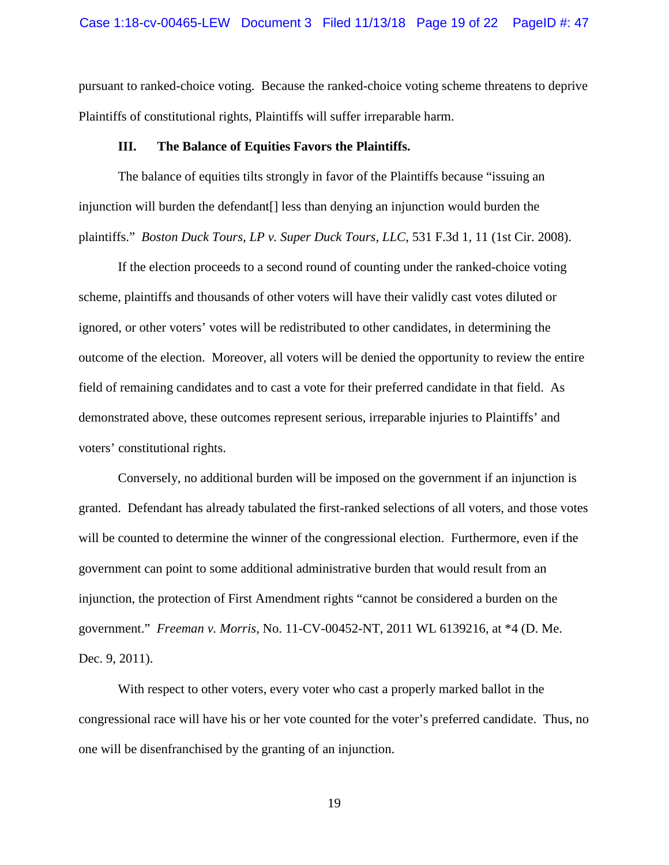pursuant to ranked-choice voting. Because the ranked-choice voting scheme threatens to deprive Plaintiffs of constitutional rights, Plaintiffs will suffer irreparable harm.

#### **III. The Balance of Equities Favors the Plaintiffs.**

The balance of equities tilts strongly in favor of the Plaintiffs because "issuing an injunction will burden the defendant[] less than denying an injunction would burden the plaintiffs." *Boston Duck Tours, LP v. Super Duck Tours, LLC*, 531 F.3d 1, 11 (1st Cir. 2008).

If the election proceeds to a second round of counting under the ranked-choice voting scheme, plaintiffs and thousands of other voters will have their validly cast votes diluted or ignored, or other voters' votes will be redistributed to other candidates, in determining the outcome of the election. Moreover, all voters will be denied the opportunity to review the entire field of remaining candidates and to cast a vote for their preferred candidate in that field. As demonstrated above, these outcomes represent serious, irreparable injuries to Plaintiffs' and voters' constitutional rights.

Conversely, no additional burden will be imposed on the government if an injunction is granted. Defendant has already tabulated the first-ranked selections of all voters, and those votes will be counted to determine the winner of the congressional election. Furthermore, even if the government can point to some additional administrative burden that would result from an injunction, the protection of First Amendment rights "cannot be considered a burden on the government." *Freeman v. Morris*, No. 11-CV-00452-NT, 2011 WL 6139216, at \*4 (D. Me. Dec. 9, 2011).

With respect to other voters, every voter who cast a properly marked ballot in the congressional race will have his or her vote counted for the voter's preferred candidate. Thus, no one will be disenfranchised by the granting of an injunction.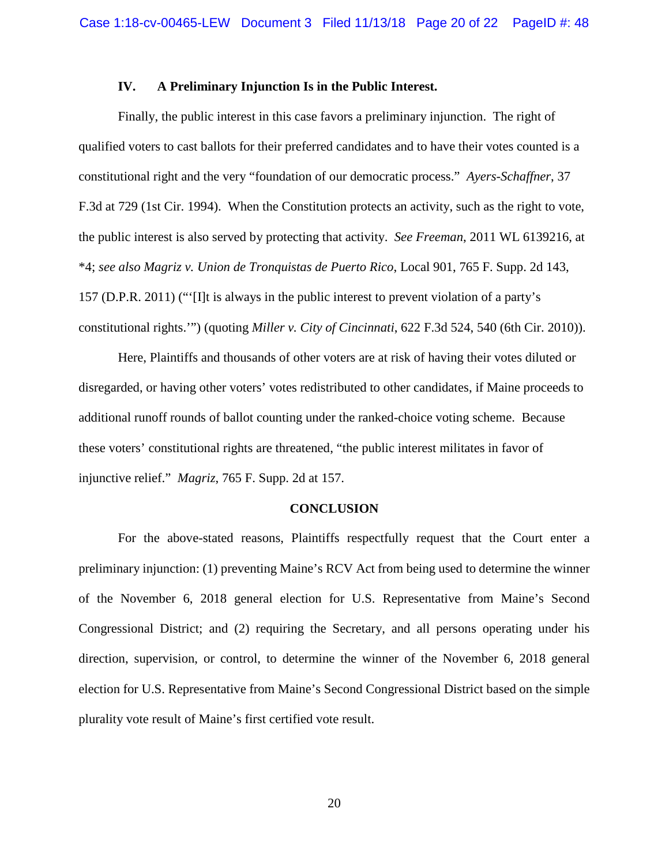### **IV. A Preliminary Injunction Is in the Public Interest.**

Finally, the public interest in this case favors a preliminary injunction. The right of qualified voters to cast ballots for their preferred candidates and to have their votes counted is a constitutional right and the very "foundation of our democratic process." *Ayers-Schaffner*, 37 F.3d at 729 (1st Cir. 1994). When the Constitution protects an activity, such as the right to vote, the public interest is also served by protecting that activity. *See Freeman*, 2011 WL 6139216, at \*4; *see also Magriz v. Union de Tronquistas de Puerto Rico*, Local 901, 765 F. Supp. 2d 143, 157 (D.P.R. 2011) ("'[I]t is always in the public interest to prevent violation of a party's constitutional rights.'") (quoting *Miller v. City of Cincinnati*, 622 F.3d 524, 540 (6th Cir. 2010)).

Here, Plaintiffs and thousands of other voters are at risk of having their votes diluted or disregarded, or having other voters' votes redistributed to other candidates, if Maine proceeds to additional runoff rounds of ballot counting under the ranked-choice voting scheme. Because these voters' constitutional rights are threatened, "the public interest militates in favor of injunctive relief." *Magriz*, 765 F. Supp. 2d at 157.

#### **CONCLUSION**

For the above-stated reasons, Plaintiffs respectfully request that the Court enter a preliminary injunction: (1) preventing Maine's RCV Act from being used to determine the winner of the November 6, 2018 general election for U.S. Representative from Maine's Second Congressional District; and (2) requiring the Secretary, and all persons operating under his direction, supervision, or control, to determine the winner of the November 6, 2018 general election for U.S. Representative from Maine's Second Congressional District based on the simple plurality vote result of Maine's first certified vote result.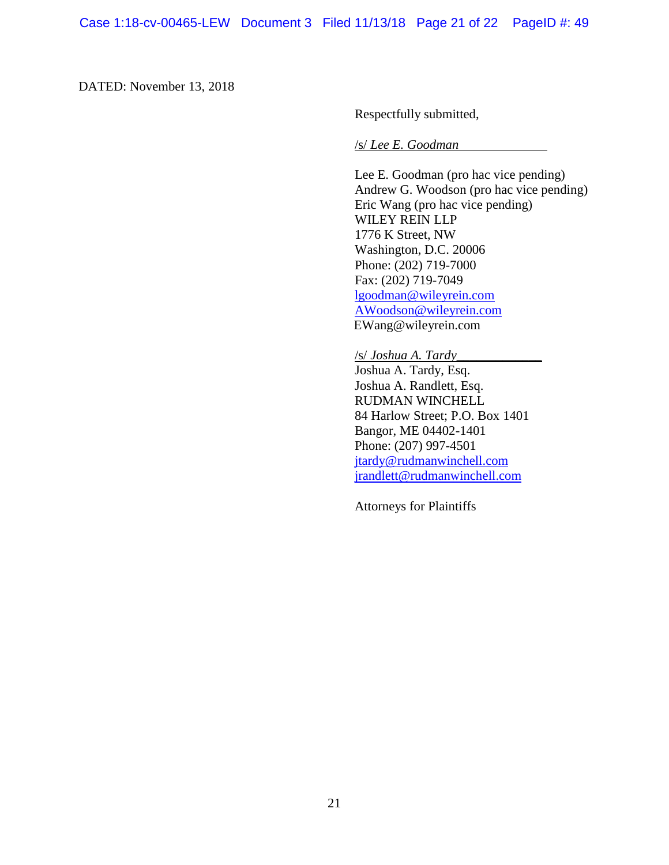DATED: November 13, 2018

Respectfully submitted,

/s/ *Lee E. Goodman*

Lee E. Goodman (pro hac vice pending) Andrew G. Woodson (pro hac vice pending) Eric Wang (pro hac vice pending) WILEY REIN LLP 1776 K Street, NW Washington, D.C. 20006 Phone: (202) 719-7000 Fax: (202) 719-7049 [lgoodman@wileyrein.com](mailto:lgoodman@wileyrein.com) [AWoodson@wileyrein.com](mailto:AWoodson@wileyrein.com) EWang@wileyrein.com

/s/ *Joshua A. Tardy\_\_\_\_\_\_\_\_\_\_\_\_\_* Joshua A. Tardy, Esq. Joshua A. Randlett, Esq. RUDMAN WINCHELL 84 Harlow Street; P.O. Box 1401 Bangor, ME 04402-1401 Phone: (207) 997-4501 [jtardy@rudmanwinchell.com](mailto:jtardy@rudmanwinchell.com) [jrandlett@rudmanwinchell.com](mailto:jrandlett@rudmanwinchell.com)

Attorneys for Plaintiffs